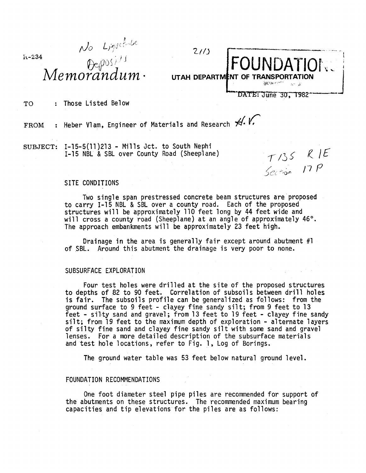$k - 234$ 

No Liggetiale

*LI/J*  FOUNDATIONS **UTAH DEPARTMENT OF TRANSPORTATION** 

## TO : Those Listed Below

FROM : Heber Vlam, Engineer of Materials and Research  $\overline{\mathcal{H}}$ .

SUBJECT: I-15-5(11)213 - Mills Jct. to South Nephi<br>I-15 NBL & SBL over County Road (Sheeplane)  $\tau/35$   $R$   $E$ 

Section 17 $P$ 

DATE: June 30, 1982

## SITE CONDITIONS

Two single span prestressed concrete beam structures are proposed to carry 1-15 NBL & SBL over a county road. Each of the proposed structures will be approximately 110 feet long by 44 feet wide and will cross a county road (Sheeplane) at an angle of approximately 46°. The approach embankments will be approximately 23 feet high.

Drainage in the area is generally fair except around abutment #1 of SBL. Around this abutment the drainage is very poor to none.

## SUBSURFACE EXPLORATION

Four test holes were drilled at the site of the proposed structures to depths of 82 to 90 feet. Correlation of subsoils between drill holes is fair. The subsoils profile can be generalized as follows: from the ground surface to 9 feet - clayey fine sandy silt; from 9 feet to 13<br>feet - silty sand and gravel; from 13 feet to 19 feet - clayey fine sandy silt; from 19 feet to the maximum depth of exploration - alternate layers<br>of silty fine sand and clayey fine sandy silt with some sand and gravel lenses. For a more detailed description of the subsurface materials and test hole locations, refer to Fig. 1, Log of Borings.

The ground water table was 53 feet below natural ground level.

## FOUNDATION RECOMMENDATIONS

One foot diameter steel pipe piles are recommended for support of the abutments on these structures. The recommended maximum bearing capacities and tip elevations for the piles are as follows: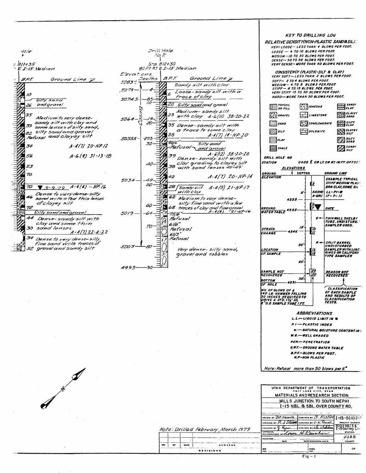Drill Hole dale  $Nq^2$  $381/135$  $5 - 812 + 30$  $BCFfRfEI-I5 Median$  $E$   $I<sub>-15</sub>$  sedian Elevations  $B.P.F.$ Jeoths Ground Line 7 **BPF** Ground Line 7 5083-Sandy silt with clay 5079  $\mathbf{A}_{\mathit{IO}}$ Loose-sandy silt with a À trace of clay 5074.5 Silty sand 20 Silty sand and grovel 26 and gravel Medium-sandysilt 35  $25$ with clay A-6(11) 38-20-22 Medium to very dense-5064 sandy silt with clay and Ð 35 Dense-sandy silt with  $79$ some lanses of silty sand, a trace to some clay 82 silty samd and grave! 38 A-1(7) 11-NP-20 Refusal and clayey silt 50555  $-22.5$ -80/6" 30 Silty sand  $A - 4(1) 20 - NP/2$ 34 Refusal and grave!  $A.6(12)$  38.20.20<br>Dense-sandy silt with  $A - G(9)$   $31 - 13 - 18$ 56 39 Canse-Sandy SIII With<br>Clay grading to Clayey Silt<br>with sand Tenses 45-49' 40 53 38. 70  $A-4(7)$  20 - NP - 14 42  $5034.$ 49 57  $7.3 - 9.79$   $A-4(4) - NP$ 28 | Sandy silt  $\overline{\mathcal{P}}$ Œ  $A-4(5)$   $21-NP17$ with clay 4 Dense to very donse-silty 62 Madium to very dense-46 sand with a few thin lenses of clayey silt silty fine sand with a few  $\omega$ 68 traces of clay and fine grave! Þ 72 ᆨ Silty sand and grovel  $5019 75/6$   $^{\circ}$  $\frac{1}{2}$ 44 Refusal Dense-sandy silt with clay and some thin  $61/6''$  $\mathcal{D}$ 30 sand lenses Refusal  $\frac{1}{2}$  $A - 4(7) 22 - 4 - 22$ 60/3\*<br>Rafuscil Dense to very dense-silly<br>fine sand with traces of  $\begin{array}{c} \square \\ \square \end{array}$  $\tau_{d}$ 5003 52 grove/and sandy silt Ξ Very dense-silty sand, gravel and cobbles

4993-

 $\overline{\mathcal{A}}$ 

-90

VERY LOOSE - LESS THAN 4 BLOWS PER FOOT.  $LOGSE - 4$  TO 10 BLOWS PER FOOT. **MEDIUM-IO TO 30 BLOWS PER FOOT. WENSE- 30 TO 50 BLOWS PER FOOT.<br>DENSE- 30 TO 50 BLOWS PER FOOT.<br>VERY DENSE- MORE THAN 50 BLOWS PER FOOT.** CONSISTENCY (PLASTIC-SILT & CLAY)<br>VERY SOFT-LESS THAN 2 BLOWS PER FOOT. SOFT- 2 TO 4 BLOWS PER FOOT. SUPITE A TO B BLOWS PER FOOT.<br>STIFF - 8 TO 15 BLOWS PER FOOT.<br>VERY STIFF 15 TO 30 BLOWS PER FOOT. HARD-WORE THAN 30 BLOWS PER FOOT.  $\lim_{\theta}$  ropson.  $\sum_{\text{c}}^{snnor}$  $\left[\begin{array}{c} 1 \\ 2 \end{array}\right]$  is ne cuts **THE CLAYEY**  $\left[\frac{1}{2}\right]$ GRAVEL  $\Box$ LINESTONE  $\left[\begin{matrix} 0 & 0 \\ 0 & 0 \end{matrix}\right]$ CONGLOMERATE  $\mathbb{S}$ sano  $Z$  surr  $\bigoplus_{s \mu r}^{a \mu r}$  $\mathbb{Z}$ sur  $\Xi$ oolomite  $22$  surv  $\Xi$ ciar **B** sanor  $\blacksquare$ *SHALE* DRILL HOLE NO STATION **OTOO E OR LT. OR RT. IN FT. OFFSET FIFVATIONS DEPTHS GROUND LINE GROUND**<br>ELEVATION **EXAMPLE TYPICAL** STIFF MEDIUM PLAST tī. **AASHO**  $11 - 21 - 8$  $s^{\prime}$  $17 - 7 - 11$  $A - 6(4)$ 4555  $\frac{3}{7}\blacktriangledown$ DATE <u>SROUND<br>WATER TABLE</u> 4552- $\mathbf{s}$ **THIN WALL SHELBY**<br>TUBE, UNDISTURB SAMPLER USED. 15 STRATA<br>CHANGE  $\frac{10}{H}$ 4546 **SPLIT BARREL<br>UNDISTURBED<br>SAMPLER WITH LINE<br>RINGS OR CALIFORE<br>TYPE SAMPLER** A 20 **LOCATION**<br>OF SAMPLE ÏŌ 25  $\mathbb{R}^3$ SAMPLE NOT<br>RECOVERED REASON NOT<br>RÉCOVERED **30' BOTTOM NOLE** NO. OF BLOWS OF A<br>140 LB. HAMMER FALLING<br>30 INCHES REQUIREDTO<br>DRIVE A STD. 144 LD.<br>1<sup>2</sup>0.D SAMPLE TUB<u>E I FT.</u> CLASSIFICATION<br>OF EACH SAMPLE<br>AND RESULTS OF CLASSIFICATION<br>TESTS. **ABBREVIATIONS** L.L.-LIQUID LIMIT IN %  $P.I - PLASTIC INDER$ -NATURAL MOISTURE CONTENTIN ?  $\mathbf{R}$  – W.G.-WELL GRADED **PEN-PENETRATION G.W.T.-GROUND WATER TABLE B.P.F-BLOWS PER FOOT. N.P-NON PLASTIC** 

**KEY TO DRILLING LOG RELATIVE DENSITYINON-PLASTIC SANDBSILT!** 

Note: Refusal more than 50 blows per 6"

|  | SALT LAKE CITY, UTAN<br>MATERIALS AND RESEARCH SECTION<br>MILLS JUNCTION TO SOUTH NEPHI              |  |  |                                |  |
|--|------------------------------------------------------------------------------------------------------|--|--|--------------------------------|--|
|  |                                                                                                      |  |  |                                |  |
|  | I-15 NBL. & SBL. OVER COUNTY RD.                                                                     |  |  |                                |  |
|  |                                                                                                      |  |  |                                |  |
|  | DRAWN BY <i>BC Sport C.</i> CHECKED BY <i>B. Kistler</i> 1-15-5(11) 21?                              |  |  |                                |  |
|  | L SIZCANCE CHECKED BY D.K. POWELL<br>CHECKED BY $\mathcal{F}_n$ .                                    |  |  | <b>FROJECT NUMBER</b><br>'+9ਸਾ |  |
|  | Para CHECRED BY LE Dalla<br>снескев 1<br><b>APPROVAL</b><br>Loren H.Rau<br><b><i>RECOMMENDED</i></b> |  |  | l-ISSurve<br><b>STATION</b>    |  |
|  |                                                                                                      |  |  |                                |  |
|  | RECEIVED<br>CHIEF STRUCTURAL ENG'R.<br><b><i><u>CLATE</u></i></b>                                    |  |  | JUAR<br>COUNTY                 |  |
|  |                                                                                                      |  |  |                                |  |

Note: Drillad February , March 1979. REMARKS  $\overline{m}$  $\mathbf{r}$ DATE REVISIONS

 $Fig - 1$